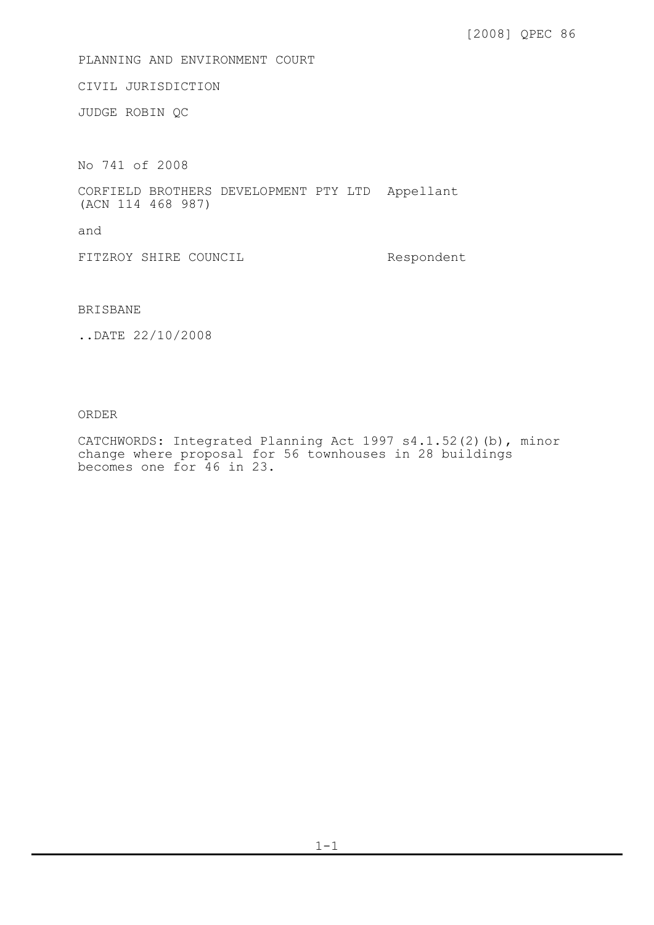[2008] QPEC 86

## PLANNING AND ENVIRONMENT COURT

CIVIL JURISDICTION

JUDGE ROBIN QC

No 741 of 2008

CORFIELD BROTHERS DEVELOPMENT PTY LTD Appellant (ACN 114 468 987)

and

FITZROY SHIRE COUNCIL Respondent

## BRISBANE

..DATE 22/10/2008

## ORDER

CATCHWORDS: Integrated Planning Act 1997 s4.1.52(2)(b), minor change where proposal for 56 townhouses in 28 buildings becomes one for 46 in 23.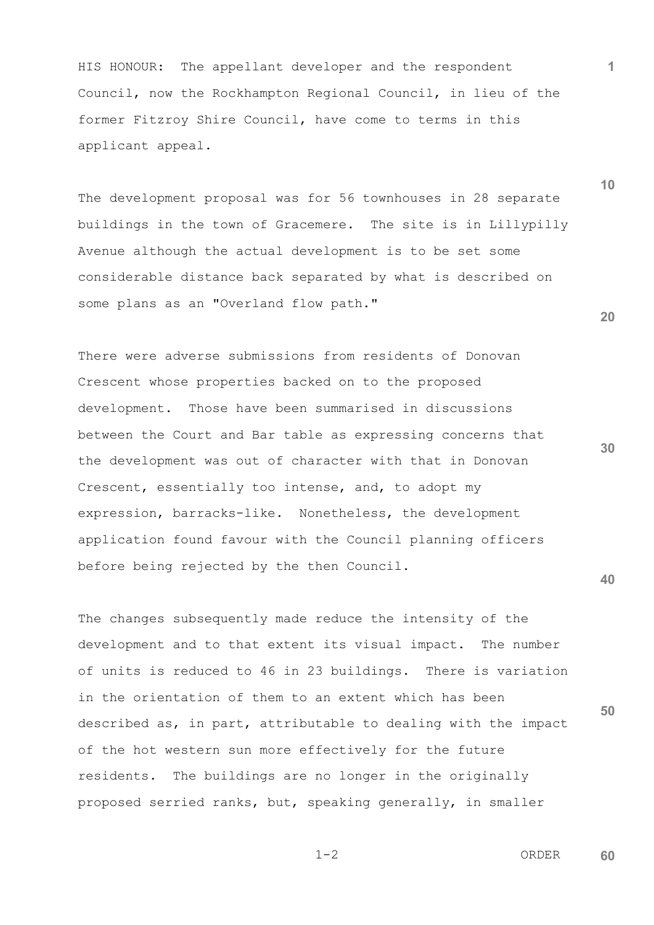HIS HONOUR: The appellant developer and the respondent Council, now the Rockhampton Regional Council, in lieu of the former Fitzroy Shire Council, have come to terms in this applicant appeal.

The development proposal was for 56 townhouses in 28 separate buildings in the town of Gracemere. The site is in Lillypilly Avenue although the actual development is to be set some considerable distance back separated by what is described on some plans as an "Overland flow path."

There were adverse submissions from residents of Donovan Crescent whose properties backed on to the proposed development. Those have been summarised in discussions between the Court and Bar table as expressing concerns that the development was out of character with that in Donovan Crescent, essentially too intense, and, to adopt my expression, barracks-like. Nonetheless, the development application found favour with the Council planning officers before being rejected by the then Council.

**50** The changes subsequently made reduce the intensity of the development and to that extent its visual impact. The number of units is reduced to 46 in 23 buildings. There is variation in the orientation of them to an extent which has been described as, in part, attributable to dealing with the impact of the hot western sun more effectively for the future residents. The buildings are no longer in the originally proposed serried ranks, but, speaking generally, in smaller

 $1-2$  ORDER **60**

**20**

**1**

**10**

**40**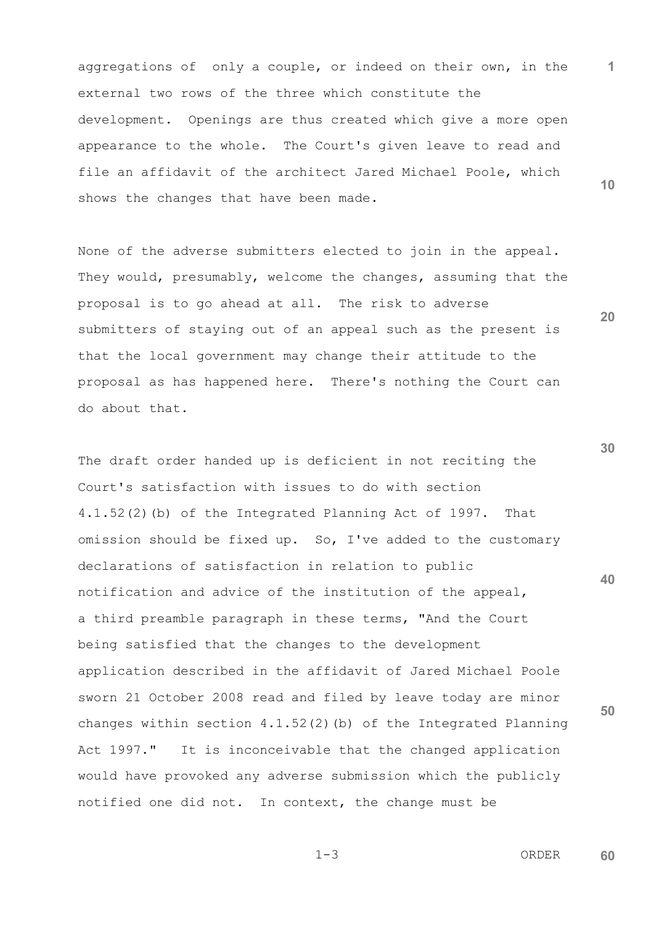aggregations of only a couple, or indeed on their own, in the external two rows of the three which constitute the development. Openings are thus created which give a more open appearance to the whole. The Court's given leave to read and file an affidavit of the architect Jared Michael Poole, which shows the changes that have been made.

None of the adverse submitters elected to join in the appeal. They would, presumably, welcome the changes, assuming that the proposal is to go ahead at all. The risk to adverse submitters of staying out of an appeal such as the present is that the local government may change their attitude to the proposal as has happened here. There's nothing the Court can do about that.

**40 50** The draft order handed up is deficient in not reciting the Court's satisfaction with issues to do with section 4.1.52(2)(b) of the Integrated Planning Act of 1997. That omission should be fixed up. So, I've added to the customary declarations of satisfaction in relation to public notification and advice of the institution of the appeal, a third preamble paragraph in these terms, "And the Court being satisfied that the changes to the development application described in the affidavit of Jared Michael Poole sworn 21 October 2008 read and filed by leave today are minor changes within section  $4.1.52(2)$  (b) of the Integrated Planning Act 1997." It is inconceivable that the changed application would have provoked any adverse submission which the publicly notified one did not. In context, the change must be

**10**

**20**

**1**

**30**